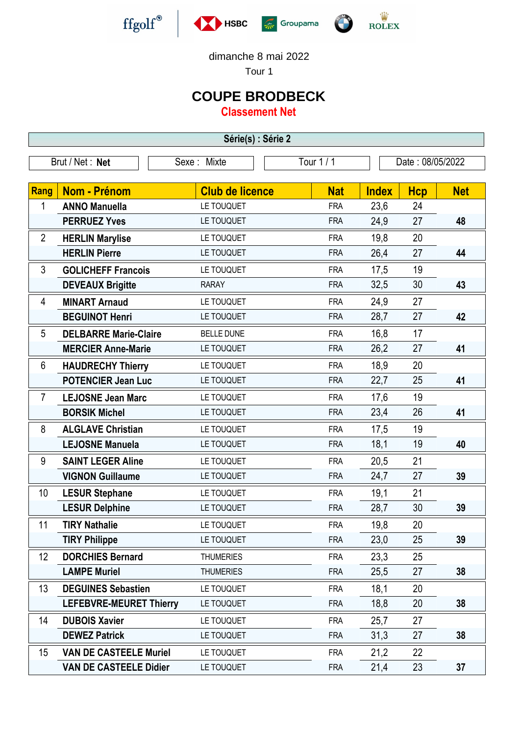







dimanche 8 mai 2022

Tour 1

## **COUPE BRODBECK**

**Classement Net**

| Série(s) : Série 2 |                                |                        |            |                  |            |            |  |  |  |
|--------------------|--------------------------------|------------------------|------------|------------------|------------|------------|--|--|--|
| Brut / Net: Net    |                                | Sexe: Mixte            | Tour 1 / 1 | Date: 08/05/2022 |            |            |  |  |  |
|                    |                                |                        |            |                  |            |            |  |  |  |
| Rang               | <b>Nom - Prénom</b>            | <b>Club de licence</b> | <b>Nat</b> | <b>Index</b>     | <b>Hcp</b> | <b>Net</b> |  |  |  |
| 1                  | <b>ANNO Manuella</b>           | LE TOUQUET             | <b>FRA</b> | 23,6             | 24         |            |  |  |  |
|                    | <b>PERRUEZ Yves</b>            | LE TOUQUET             | <b>FRA</b> | 24,9             | 27         | 48         |  |  |  |
| $\overline{2}$     | <b>HERLIN Marylise</b>         | LE TOUQUET             | <b>FRA</b> | 19,8             | 20         |            |  |  |  |
|                    | <b>HERLIN Pierre</b>           | LE TOUQUET             | <b>FRA</b> | 26,4             | 27         | 44         |  |  |  |
| 3                  | <b>GOLICHEFF Francois</b>      | LE TOUQUET             | <b>FRA</b> | 17,5             | 19         |            |  |  |  |
|                    | <b>DEVEAUX Brigitte</b>        | <b>RARAY</b>           | <b>FRA</b> | 32,5             | 30         | 43         |  |  |  |
| 4                  | <b>MINART Arnaud</b>           | LE TOUQUET             | <b>FRA</b> | 24,9             | 27         |            |  |  |  |
|                    | <b>BEGUINOT Henri</b>          | LE TOUQUET             | <b>FRA</b> | 28,7             | 27         | 42         |  |  |  |
| 5                  | <b>DELBARRE Marie-Claire</b>   | <b>BELLE DUNE</b>      | <b>FRA</b> | 16,8             | 17         |            |  |  |  |
|                    | <b>MERCIER Anne-Marie</b>      | LE TOUQUET             | <b>FRA</b> | 26,2             | 27         | 41         |  |  |  |
| 6                  | <b>HAUDRECHY Thierry</b>       | LE TOUQUET             | <b>FRA</b> | 18,9             | 20         |            |  |  |  |
|                    | <b>POTENCIER Jean Luc</b>      | LE TOUQUET             | <b>FRA</b> | 22,7             | 25         | 41         |  |  |  |
| $\overline{7}$     | <b>LEJOSNE Jean Marc</b>       | LE TOUQUET             | <b>FRA</b> | 17,6             | 19         |            |  |  |  |
|                    | <b>BORSIK Michel</b>           | LE TOUQUET             | <b>FRA</b> | 23,4             | 26         | 41         |  |  |  |
| 8                  | <b>ALGLAVE Christian</b>       | LE TOUQUET             | <b>FRA</b> | 17,5             | 19         |            |  |  |  |
|                    | <b>LEJOSNE Manuela</b>         | LE TOUQUET             | <b>FRA</b> | 18,1             | 19         | 40         |  |  |  |
| 9                  | <b>SAINT LEGER Aline</b>       | LE TOUQUET             | <b>FRA</b> | 20,5             | 21         |            |  |  |  |
|                    | <b>VIGNON Guillaume</b>        | LE TOUQUET             | <b>FRA</b> | 24,7             | 27         | 39         |  |  |  |
| 10                 | <b>LESUR Stephane</b>          | LE TOUQUET             | <b>FRA</b> | 19,1             | 21         |            |  |  |  |
|                    | <b>LESUR Delphine</b>          | LE TOUQUET             | <b>FRA</b> | 28,7             | 30         | 39         |  |  |  |
| 11                 | <b>TIRY Nathalie</b>           | LE TOUQUET             | <b>FRA</b> | 19,8             | 20         |            |  |  |  |
|                    | <b>TIRY Philippe</b>           | LE TOUQUET             | <b>FRA</b> | 23,0             | 25         | 39         |  |  |  |
| 12                 | <b>DORCHIES Bernard</b>        | <b>THUMERIES</b>       | <b>FRA</b> | 23,3             | 25         |            |  |  |  |
|                    | <b>LAMPE Muriel</b>            | <b>THUMERIES</b>       | <b>FRA</b> | 25,5             | 27         | 38         |  |  |  |
| 13                 | <b>DEGUINES Sebastien</b>      | LE TOUQUET             | <b>FRA</b> | 18,1             | 20         |            |  |  |  |
|                    | <b>LEFEBVRE-MEURET Thierry</b> | LE TOUQUET             | <b>FRA</b> | 18,8             | 20         | 38         |  |  |  |
| 14                 | <b>DUBOIS Xavier</b>           | LE TOUQUET             | <b>FRA</b> | 25,7             | 27         |            |  |  |  |
|                    | <b>DEWEZ Patrick</b>           | LE TOUQUET             | <b>FRA</b> | 31,3             | 27         | 38         |  |  |  |
| 15                 | <b>VAN DE CASTEELE Muriel</b>  | LE TOUQUET             | <b>FRA</b> | 21,2             | 22         |            |  |  |  |
|                    | <b>VAN DE CASTEELE Didier</b>  | LE TOUQUET             | <b>FRA</b> | 21,4             | 23         | 37         |  |  |  |